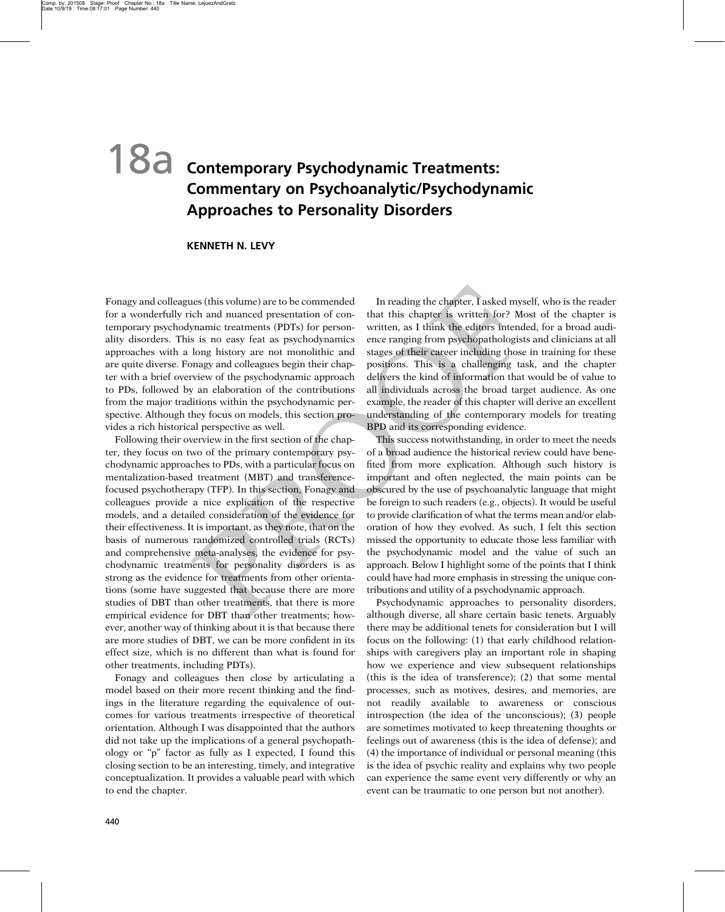## 18a **Contemporary Psychodynamic Treatments: Commentary on Psychoanalytic/Psychodynamic Approaches to Personality Disorders**

## **KENNETH N. LEVY**

Fonagy and colleagues (this volume) are to be commended for a wonderfully rich and nuanced presentation of contemporary psychodynamic treatments (PDTs) for personality disorders. This is no easy feat as psychodynamics approaches with a long history are not monolithic and are quite diverse. Fonagy and colleagues begin their chapter with a brief overview of the psychodynamic approach to PDs, followed by an elaboration of the contributions from the major traditions within the psychodynamic perspective. Although they focus on models, this section provides a rich historical perspective as well.

Following their overview in the first section of the chapter, they focus on two of the primary contemporary psychodynamic approaches to PDs, with a particular focus on mentalization-based treatment (MBT) and transferencefocused psychotherapy (TFP). In this section, Fonagy and colleagues provide a nice explication of the respective models, and a detailed consideration of the evidence for their effectiveness. It is important, as they note, that on the basis of numerous randomized controlled trials (RCTs) and comprehensive meta-analyses, the evidence for psychodynamic treatments for personality disorders is as strong as the evidence for treatments from other orientations (some have suggested that because there are more studies of DBT than other treatments, that there is more empirical evidence for DBT than other treatments; however, another way of thinking about it is that because there are more studies of DBT, we can be more confident in its effect size, which is no different than what is found for other treatments, including PDTs).

Fonagy and colleagues then close by articulating a model based on their more recent thinking and the findings in the literature regarding the equivalence of outcomes for various treatments irrespective of theoretical orientation. Although I was disappointed that the authors did not take up the implications of a general psychopathology or "p" factor as fully as I expected, I found this closing section to be an interesting, timely, and integrative conceptualization. It provides a valuable pearl with which to end the chapter.

In reading the chapter, I asked myself, who is the reader that this chapter is written for? Most of the chapter is written, as I think the editors intended, for a broad audience ranging from psychopathologists and clinicians at all stages of their career including those in training for these positions. This is a challenging task, and the chapter delivers the kind of information that would be of value to all individuals across the broad target audience. As one example, the reader of this chapter will derive an excellent understanding of the contemporary models for treating BPD and its corresponding evidence.

This success notwithstanding, in order to meet the needs of a broad audience the historical review could have benefited from more explication. Although such history is important and often neglected, the main points can be obscured by the use of psychoanalytic language that might be foreign to such readers (e.g., objects). It would be useful to provide clarification of what the terms mean and/or elaboration of how they evolved. As such, I felt this section missed the opportunity to educate those less familiar with the psychodynamic model and the value of such an approach. Below I highlight some of the points that I think could have had more emphasis in stressing the unique contributions and utility of a psychodynamic approach.

Psychodynamic approaches to personality disorders, although diverse, all share certain basic tenets. Arguably there may be additional tenets for consideration but I will focus on the following: (1) that early childhood relationships with caregivers play an important role in shaping how we experience and view subsequent relationships (this is the idea of transference); (2) that some mental processes, such as motives, desires, and memories, are not readily available to awareness or conscious introspection (the idea of the unconscious); (3) people are sometimes motivated to keep threatening thoughts or feelings out of awareness (this is the idea of defense); and (4) the importance of individual or personal meaning (this is the idea of psychic reality and explains why two people can experience the same event very differently or why an event can be traumatic to one person but not another).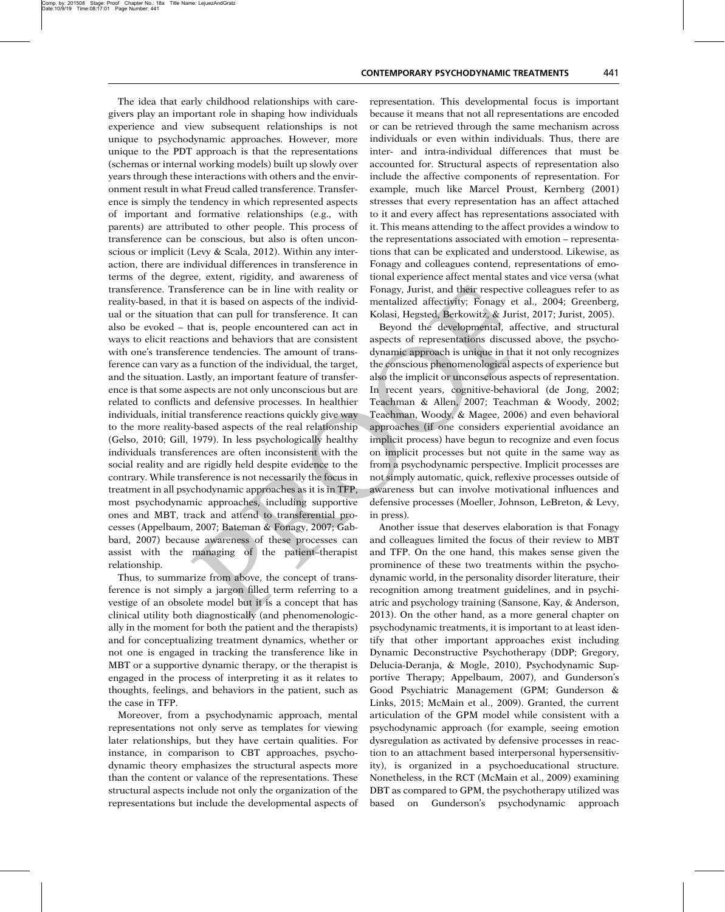The idea that early childhood relationships with caregivers play an important role in shaping how individuals experience and view subsequent relationships is not unique to psychodynamic approaches. However, more unique to the PDT approach is that the representations (schemas or internal working models) built up slowly over years through these interactions with others and the environment result in what Freud called transference. Transference is simply the tendency in which represented aspects of important and formative relationships (e.g., with parents) are attributed to other people. This process of transference can be conscious, but also is often unconscious or implicit (Levy & Scala, 2012). Within any interaction, there are individual differences in transference in terms of the degree, extent, rigidity, and awareness of transference. Transference can be in line with reality or reality-based, in that it is based on aspects of the individual or the situation that can pull for transference. It can also be evoked – that is, people encountered can act in ways to elicit reactions and behaviors that are consistent with one's transference tendencies. The amount of transference can vary as a function of the individual, the target, and the situation. Lastly, an important feature of transference is that some aspects are not only unconscious but are related to conflicts and defensive processes. In healthier individuals, initial transference reactions quickly give way to the more reality-based aspects of the real relationship (Gelso, 2010; Gill, 1979). In less psychologically healthy individuals transferences are often inconsistent with the social reality and are rigidly held despite evidence to the contrary. While transference is not necessarily the focus in treatment in all psychodynamic approaches as it is in TFP, most psychodynamic approaches, including supportive ones and MBT, track and attend to transferential processes (Appelbaum, 2007; Bateman & Fonagy, 2007; Gabbard, 2007) because awareness of these processes can assist with the managing of the patient–therapist relationship.

Thus, to summarize from above, the concept of transference is not simply a jargon filled term referring to a vestige of an obsolete model but it is a concept that has clinical utility both diagnostically (and phenomenologically in the moment for both the patient and the therapists) and for conceptualizing treatment dynamics, whether or not one is engaged in tracking the transference like in MBT or a supportive dynamic therapy, or the therapist is engaged in the process of interpreting it as it relates to thoughts, feelings, and behaviors in the patient, such as the case in TFP.

Moreover, from a psychodynamic approach, mental representations not only serve as templates for viewing later relationships, but they have certain qualities. For instance, in comparison to CBT approaches, psychodynamic theory emphasizes the structural aspects more than the content or valance of the representations. These structural aspects include not only the organization of the representations but include the developmental aspects of representation. This developmental focus is important because it means that not all representations are encoded or can be retrieved through the same mechanism across individuals or even within individuals. Thus, there are inter- and intra-individual differences that must be accounted for. Structural aspects of representation also include the affective components of representation. For example, much like Marcel Proust, Kernberg (2001) stresses that every representation has an affect attached to it and every affect has representations associated with it. This means attending to the affect provides a window to the representations associated with emotion – representations that can be explicated and understood. Likewise, as Fonagy and colleagues contend, representations of emotional experience affect mental states and vice versa (what Fonagy, Jurist, and their respective colleagues refer to as mentalized affectivity; Fonagy et al., 2004; Greenberg, Kolasi, Hegsted, Berkowitz, & Jurist, 2017; Jurist, 2005).

Beyond the developmental, affective, and structural aspects of representations discussed above, the psychodynamic approach is unique in that it not only recognizes the conscious phenomenological aspects of experience but also the implicit or unconscious aspects of representation. In recent years, cognitive-behavioral (de Jong, 2002; Teachman & Allen, 2007; Teachman & Woody, 2002; Teachman, Woody, & Magee, 2006) and even behavioral approaches (if one considers experiential avoidance an implicit process) have begun to recognize and even focus on implicit processes but not quite in the same way as from a psychodynamic perspective. Implicit processes are not simply automatic, quick, reflexive processes outside of awareness but can involve motivational influences and defensive processes (Moeller, Johnson, LeBreton, & Levy, in press).

Another issue that deserves elaboration is that Fonagy and colleagues limited the focus of their review to MBT and TFP. On the one hand, this makes sense given the prominence of these two treatments within the psychodynamic world, in the personality disorder literature, their recognition among treatment guidelines, and in psychiatric and psychology training (Sansone, Kay, & Anderson, 2013). On the other hand, as a more general chapter on psychodynamic treatments, it is important to at least identify that other important approaches exist including Dynamic Deconstructive Psychotherapy (DDP; Gregory, Delucia-Deranja, & Mogle, 2010), Psychodynamic Supportive Therapy; Appelbaum, 2007), and Gunderson's Good Psychiatric Management (GPM; Gunderson & Links, 2015; McMain et al., 2009). Granted, the current articulation of the GPM model while consistent with a psychodynamic approach (for example, seeing emotion dysregulation as activated by defensive processes in reaction to an attachment based interpersonal hypersensitivity), is organized in a psychoeducational structure. Nonetheless, in the RCT (McMain et al., 2009) examining DBT as compared to GPM, the psychotherapy utilized was based on Gunderson's psychodynamic approach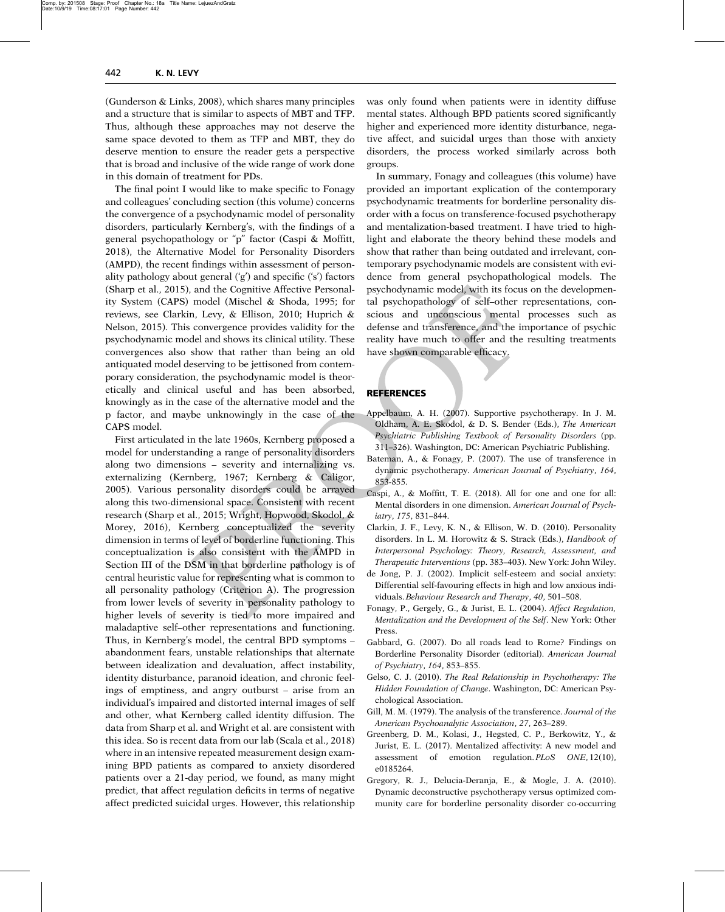(Gunderson & Links, 2008), which shares many principles and a structure that is similar to aspects of MBT and TFP. Thus, although these approaches may not deserve the same space devoted to them as TFP and MBT, they do deserve mention to ensure the reader gets a perspective that is broad and inclusive of the wide range of work done in this domain of treatment for PDs.

The final point I would like to make specific to Fonagy and colleagues' concluding section (this volume) concerns the convergence of a psychodynamic model of personality disorders, particularly Kernberg's, with the findings of a general psychopathology or "p" factor (Caspi & Moffitt, 2018), the Alternative Model for Personality Disorders (AMPD), the recent findings within assessment of personality pathology about general ('g') and specific ('s') factors (Sharp et al., 2015), and the Cognitive Affective Personality System (CAPS) model (Mischel & Shoda, 1995; for reviews, see Clarkin, Levy, & Ellison, 2010; Huprich & Nelson, 2015). This convergence provides validity for the psychodynamic model and shows its clinical utility. These convergences also show that rather than being an old antiquated model deserving to be jettisoned from contemporary consideration, the psychodynamic model is theoretically and clinical useful and has been absorbed, knowingly as in the case of the alternative model and the p factor, and maybe unknowingly in the case of the CAPS model.

First articulated in the late 1960s, Kernberg proposed a model for understanding a range of personality disorders along two dimensions – severity and internalizing vs. externalizing (Kernberg, 1967; Kernberg & Caligor, 2005). Various personality disorders could be arrayed along this two-dimensional space. Consistent with recent research (Sharp et al., 2015; Wright, Hopwood, Skodol, & Morey, 2016), Kernberg conceptualized the severity dimension in terms of level of borderline functioning. This conceptualization is also consistent with the AMPD in Section III of the DSM in that borderline pathology is of central heuristic value for representing what is common to all personality pathology (Criterion A). The progression from lower levels of severity in personality pathology to higher levels of severity is tied to more impaired and maladaptive self–other representations and functioning. Thus, in Kernberg's model, the central BPD symptoms – abandonment fears, unstable relationships that alternate between idealization and devaluation, affect instability, identity disturbance, paranoid ideation, and chronic feelings of emptiness, and angry outburst – arise from an individual's impaired and distorted internal images of self and other, what Kernberg called identity diffusion. The data from Sharp et al. and Wright et al. are consistent with this idea. So is recent data from our lab (Scala et al., 2018) where in an intensive repeated measurement design examining BPD patients as compared to anxiety disordered patients over a 21-day period, we found, as many might predict, that affect regulation deficits in terms of negative affect predicted suicidal urges. However, this relationship was only found when patients were in identity diffuse mental states. Although BPD patients scored significantly higher and experienced more identity disturbance, negative affect, and suicidal urges than those with anxiety disorders, the process worked similarly across both groups.

In summary, Fonagy and colleagues (this volume) have provided an important explication of the contemporary psychodynamic treatments for borderline personality disorder with a focus on transference-focused psychotherapy and mentalization-based treatment. I have tried to highlight and elaborate the theory behind these models and show that rather than being outdated and irrelevant, contemporary psychodynamic models are consistent with evidence from general psychopathological models. The psychodynamic model, with its focus on the developmental psychopathology of self–other representations, conscious and unconscious mental processes such as defense and transference, and the importance of psychic reality have much to offer and the resulting treatments have shown comparable efficacy.

## **REFERENCES**

- Appelbaum, A. H. (2007). Supportive psychotherapy. In J. M. Oldham, A. E. Skodol, & D. S. Bender (Eds.), The American Psychiatric Publishing Textbook of Personality Disorders (pp. 311–326). Washington, DC: American Psychiatric Publishing.
- Bateman, A., & Fonagy, P. (2007). The use of transference in dynamic psychotherapy. American Journal of Psychiatry, 164, 853-855.
- Caspi, A., & Moffitt, T. E. (2018). All for one and one for all: Mental disorders in one dimension. American Journal of Psychiatry, 175, 831–844.
- Clarkin, J. F., Levy, K. N., & Ellison, W. D. (2010). Personality disorders. In L. M. Horowitz & S. Strack (Eds.), Handbook of Interpersonal Psychology: Theory, Research, Assessment, and Therapeutic Interventions (pp. 383–403). New York: John Wiley.
- de Jong, P. J. (2002). Implicit self-esteem and social anxiety: Differential self-favouring effects in high and low anxious individuals.Behaviour Research and Therapy, 40, 501–508.
- Fonagy, P., Gergely, G., & Jurist, E. L. (2004). Affect Regulation, Mentalization and the Development of the Self. New York: Other Press.
- Gabbard, G. (2007). Do all roads lead to Rome? Findings on Borderline Personality Disorder (editorial). American Journal of Psychiatry, 164, 853–855.
- Gelso, C. J. (2010). The Real Relationship in Psychotherapy: The Hidden Foundation of Change. Washington, DC: American Psychological Association.
- Gill, M. M. (1979). The analysis of the transference. Journal of the American Psychoanalytic Association, 27, 263–289.
- Greenberg, D. M., Kolasi, J., Hegsted, C. P., Berkowitz, Y., & Jurist, E. L. (2017). Mentalized affectivity: A new model and assessment of emotion regulation. PLoS ONE, 12(10), e0185264.
- Gregory, R. J., Delucia-Deranja, E., & Mogle, J. A. (2010). Dynamic deconstructive psychotherapy versus optimized community care for borderline personality disorder co-occurring